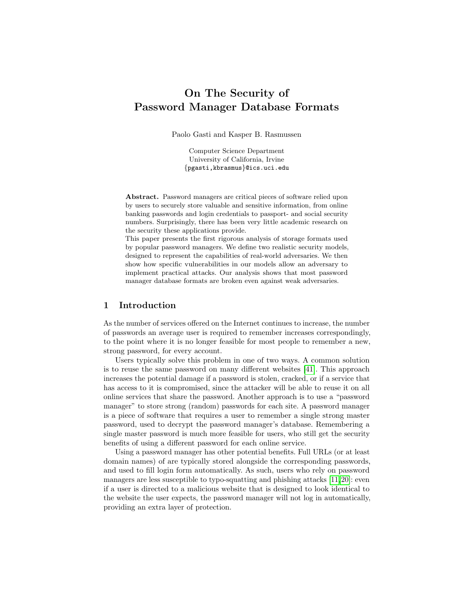# On The Security of Password Manager Database Formats

Paolo Gasti and Kasper B. Rasmussen

Computer Science Department University of California, Irvine {pgasti,kbrasmus}@ics.uci.edu

Abstract. Password managers are critical pieces of software relied upon by users to securely store valuable and sensitive information, from online banking passwords and login credentials to passport- and social security numbers. Surprisingly, there has been very little academic research on the security these applications provide.

This paper presents the first rigorous analysis of storage formats used by popular password managers. We define two realistic security models, designed to represent the capabilities of real-world adversaries. We then show how specific vulnerabilities in our models allow an adversary to implement practical attacks. Our analysis shows that most password manager database formats are broken even against weak adversaries.

## 1 Introduction

As the number of services offered on the Internet continues to increase, the number of passwords an average user is required to remember increases correspondingly, to the point where it is no longer feasible for most people to remember a new, strong password, for every account.

Users typically solve this problem in one of two ways. A common solution is to reuse the same password on many different websites [\[41\]](#page-17-0). This approach increases the potential damage if a password is stolen, cracked, or if a service that has access to it is compromised, since the attacker will be able to reuse it on all online services that share the password. Another approach is to use a "password manager" to store strong (random) passwords for each site. A password manager is a piece of software that requires a user to remember a single strong master password, used to decrypt the password manager's database. Remembering a single master password is much more feasible for users, who still get the security benefits of using a different password for each online service.

Using a password manager has other potential benefits. Full URLs (or at least domain names) of are typically stored alongside the corresponding passwords, and used to fill login form automatically. As such, users who rely on password managers are less susceptible to typo-squatting and phishing attacks [\[11,](#page-16-0)[20\]](#page-16-1): even if a user is directed to a malicious website that is designed to look identical to the website the user expects, the password manager will not log in automatically, providing an extra layer of protection.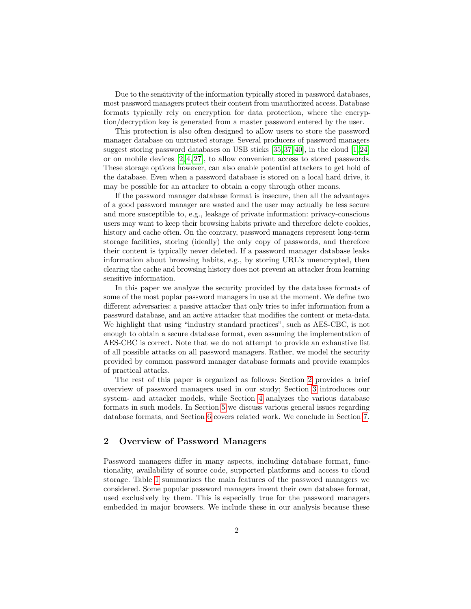Due to the sensitivity of the information typically stored in password databases, most password managers protect their content from unauthorized access. Database formats typically rely on encryption for data protection, where the encryption/decryption key is generated from a master password entered by the user.

This protection is also often designed to allow users to store the password manager database on untrusted storage. Several producers of password managers suggest storing password databases on USB sticks [\[35,](#page-16-2) [37,](#page-17-1) [40\]](#page-17-2), in the cloud [\[1,](#page-15-0) [24\]](#page-16-3) or on mobile devices [\[2,](#page-15-1) [4,](#page-15-2) [27\]](#page-16-4), to allow convenient access to stored passwords. These storage options however, can also enable potential attackers to get hold of the database. Even when a password database is stored on a local hard drive, it may be possible for an attacker to obtain a copy through other means.

If the password manager database format is insecure, then all the advantages of a good password manager are wasted and the user may actually be less secure and more susceptible to, e.g., leakage of private information: privacy-conscious users may want to keep their browsing habits private and therefore delete cookies, history and cache often. On the contrary, password managers represent long-term storage facilities, storing (ideally) the only copy of passwords, and therefore their content is typically never deleted. If a password manager database leaks information about browsing habits, e.g., by storing URL's unencrypted, then clearing the cache and browsing history does not prevent an attacker from learning sensitive information.

In this paper we analyze the security provided by the database formats of some of the most poplar password managers in use at the moment. We define two different adversaries: a passive attacker that only tries to infer information from a password database, and an active attacker that modifies the content or meta-data. We highlight that using "industry standard practices", such as AES-CBC, is not enough to obtain a secure database format, even assuming the implementation of AES-CBC is correct. Note that we do not attempt to provide an exhaustive list of all possible attacks on all password managers. Rather, we model the security provided by common password manager database formats and provide examples of practical attacks.

The rest of this paper is organized as follows: Section [2](#page-1-0) provides a brief overview of password managers used in our study; Section [3](#page-2-0) introduces our system- and attacker models, while Section [4](#page-5-0) analyzes the various database formats in such models. In Section [5](#page-13-0) we discuss various general issues regarding database formats, and Section [6](#page-14-0) covers related work. We conclude in Section [7.](#page-15-3)

# <span id="page-1-0"></span>2 Overview of Password Managers

Password managers differ in many aspects, including database format, functionality, availability of source code, supported platforms and access to cloud storage. Table [1](#page-2-1) summarizes the main features of the password managers we considered. Some popular password managers invent their own database format, used exclusively by them. This is especially true for the password managers embedded in major browsers. We include these in our analysis because these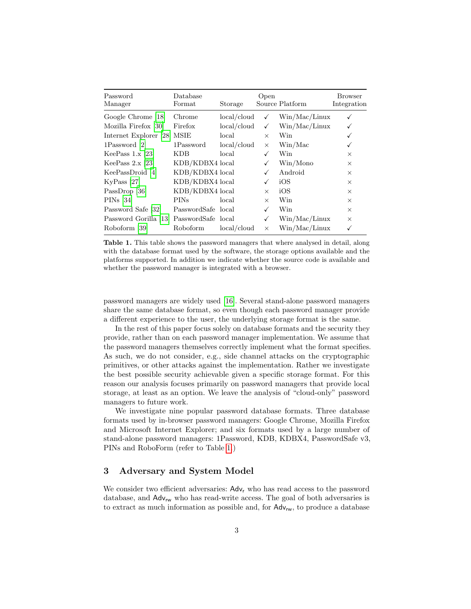| Password<br>Manager         | Database<br>Format | Storage        | Open     | Source Platform | Browser<br>Integration |
|-----------------------------|--------------------|----------------|----------|-----------------|------------------------|
| Google Chrome [18]          | Chrome             | local/cloud    | ✓        | Win/Mac/Linux   |                        |
| Mozilla Firefox [30]        | Firefox            | local/cloud    | ✓        | Win/Mac/Linux   |                        |
| Internet Explorer [28] MSIE |                    | local          | $\times$ | Win             |                        |
| 1Password [2]               | 1Password          | $local$ /cloud | $\times$ | Win/Mac         |                        |
| KeePass $1.x$ [23]          | KDB                | local          | ✓        | Win             | $\times$               |
| KeePass $2.x$ [23]          | KDB/KDBX4 local    |                | ✓        | Win/Mono        | $\times$               |
| KeePassDroid [4]            | KDB/KDBX4 local    |                |          | Android         | $\times$               |
| $KvPass$ [27]               | KDB/KDBX4 local    |                | ✓        | iOS             | $\times$               |
| PassDrop [36]               | KDB/KDBX4 local    |                | $\times$ | iOS             | $\times$               |
| $PINs$ [34]                 | <b>PINs</b>        | local          | $\times$ | Win             | $\times$               |
| Password Safe [32]          | PasswordSafe local |                |          | Win             | $\times$               |
| Password Gorilla [13]       | PasswordSafe local |                | ✓        | Win/Mac/Linux   | $\times$               |
| Roboform [39]               | Roboform           | local/cloud    | $\times$ | Win/Mac/Linux   |                        |

<span id="page-2-1"></span>Table 1. This table shows the password managers that where analysed in detail, along with the database format used by the software, the storage options available and the platforms supported. In addition we indicate whether the source code is available and whether the password manager is integrated with a browser.

password managers are widely used [\[16\]](#page-16-12). Several stand-alone password managers share the same database format, so even though each password manager provide a different experience to the user, the underlying storage format is the same.

In the rest of this paper focus solely on database formats and the security they provide, rather than on each password manager implementation. We assume that the password managers themselves correctly implement what the format specifies. As such, we do not consider, e.g., side channel attacks on the cryptographic primitives, or other attacks against the implementation. Rather we investigate the best possible security achievable given a specific storage format. For this reason our analysis focuses primarily on password managers that provide local storage, at least as an option. We leave the analysis of "cloud-only" password managers to future work.

We investigate nine popular password database formats. Three database formats used by in-browser password managers: Google Chrome, Mozilla Firefox and Microsoft Internet Explorer; and six formats used by a large number of stand-alone password managers: 1Password, KDB, KDBX4, PasswordSafe v3, PINs and RoboForm (refer to Table [1.](#page-2-1))

## <span id="page-2-0"></span>3 Adversary and System Model

We consider two efficient adversaries:  $\mathsf{Adv}_{r}$  who has read access to the password database, and  $Adv_{rw}$  who has read-write access. The goal of both adversaries is to extract as much information as possible and, for  $\text{Adv}_{rw}$ , to produce a database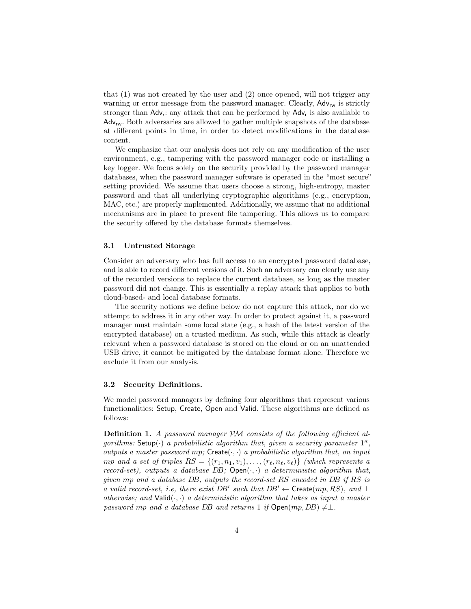that (1) was not created by the user and (2) once opened, will not trigger any warning or error message from the password manager. Clearly,  $\mathsf{Adv}_{rw}$  is strictly stronger than  $\text{Adv}_{r}$ : any attack that can be performed by  $\text{Adv}_{r}$  is also available to  $Adv_{rw}$ . Both adversaries are allowed to gather multiple snapshots of the database at different points in time, in order to detect modifications in the database content.

We emphasize that our analysis does not rely on any modification of the user environment, e.g., tampering with the password manager code or installing a key logger. We focus solely on the security provided by the password manager databases, when the password manager software is operated in the "most secure" setting provided. We assume that users choose a strong, high-entropy, master password and that all underlying cryptographic algorithms (e.g., encryption, MAC, etc.) are properly implemented. Additionally, we assume that no additional mechanisms are in place to prevent file tampering. This allows us to compare the security offered by the database formats themselves.

#### 3.1 Untrusted Storage

Consider an adversary who has full access to an encrypted password database, and is able to record different versions of it. Such an adversary can clearly use any of the recorded versions to replace the current database, as long as the master password did not change. This is essentially a replay attack that applies to both cloud-based- and local database formats.

The security notions we define below do not capture this attack, nor do we attempt to address it in any other way. In order to protect against it, a password manager must maintain some local state (e.g., a hash of the latest version of the encrypted database) on a trusted medium. As such, while this attack is clearly relevant when a password database is stored on the cloud or on an unattended USB drive, it cannot be mitigated by the database format alone. Therefore we exclude it from our analysis.

#### 3.2 Security Definitions.

We model password managers by defining four algorithms that represent various functionalities: Setup, Create, Open and Valid. These algorithms are defined as follows:

Definition 1. A password manager PM consists of the following efficient algorithms: Setup $\cdot$ ) a probabilistic algorithm that, given a security parameter  $1^{\kappa}$ , outputs a master password mp;  $Create(\cdot, \cdot)$  a probabilistic algorithm that, on input mp and a set of triples  $RS = \{(r_1, n_1, v_1), \ldots, (r_\ell, n_\ell, v_\ell)\}\$  (which represents a record-set), outputs a database  $DB$ ; Open $(\cdot, \cdot)$  a deterministic algorithm that, given mp and a database DB, outputs the record-set RS encoded in DB if RS is a valid record-set, i.e, there exist DB' such that  $DB' \leftarrow$  Create $(mp, RS)$ , and  $\perp$ otherwise; and  $Valid(\cdot, \cdot)$  a deterministic algorithm that takes as input a master password mp and a database DB and returns 1 if  $Open(mp, DB) \neq \perp$ .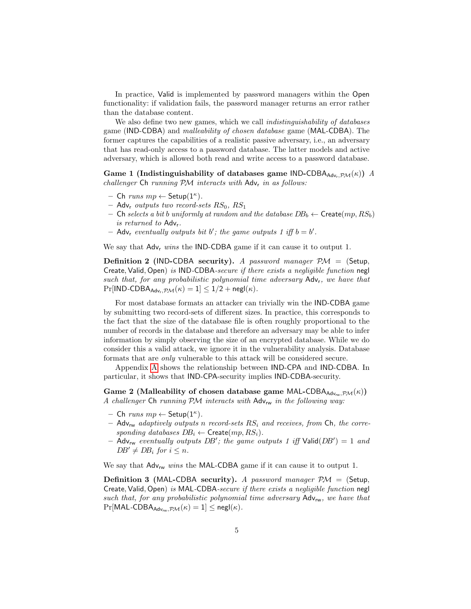In practice, Valid is implemented by password managers within the Open functionality: if validation fails, the password manager returns an error rather than the database content.

We also define two new games, which we call *indistinguishability of databases* game (IND-CDBA) and malleability of chosen database game (MAL-CDBA). The former captures the capabilities of a realistic passive adversary, i.e., an adversary that has read-only access to a password database. The latter models and active adversary, which is allowed both read and write access to a password database.

Game 1 (Indistinguishability of databases game IND-CDBA<sub>Advr,  $\mathcal{PM}(\kappa)$ ) A</sub>  $challenger$  Ch running  $PM$  interacts with  $Adv<sub>r</sub>$  in as follows:

- $-$  Ch runs  $mp \leftarrow$  Setup $(1^{\kappa})$ .
- Adv<sub>r</sub> outputs two record-sets  $RS_0$ ,  $RS_1$
- Ch selects a bit b uniformly at random and the database  $DB_b \leftarrow$  Create $(mp, RS_b)$ is returned to Advr.
- $-$  Adv<sub>r</sub> eventually outputs bit b'; the game outputs 1 iff  $b = b'$ .

We say that  $\mathsf{Adv}_r$  wins the IND-CDBA game if it can cause it to output 1.

**Definition 2** (IND-CDBA security). A password manager  $PM =$  (Setup, Create, Valid, Open) is IND-CDBA-secure if there exists a negligible function negl such that, for any probabilistic polynomial time adversary  $Adv_r$ , we have that  $Pr[IND-CDBA_{Adv.PM}(\kappa) = 1] \leq 1/2 + negl(\kappa).$ 

For most database formats an attacker can trivially win the IND-CDBA game by submitting two record-sets of different sizes. In practice, this corresponds to the fact that the size of the database file is often roughly proportional to the number of records in the database and therefore an adversary may be able to infer information by simply observing the size of an encrypted database. While we do consider this a valid attack, we ignore it in the vulnerability analysis. Database formats that are only vulnerable to this attack will be considered secure.

Appendix [A](#page-17-5) shows the relationship between IND-CPA and IND-CDBA. In particular, it shows that IND-CPA-security implies IND-CDBA-security.

Game 2 (Malleability of chosen database game MAL-CDBA $_{\text{Adv}_{\text{rw}}\text{P}\mathcal{M}}(\kappa)$ ) A challenger Ch running  $P\mathcal{M}$  interacts with  $\mathsf{Adv}_{rw}$  in the following way:

- Ch runs  $mp \leftarrow$  Setup $(1^{\kappa})$ .
- Adv<sub>rw</sub> adaptively outputs n record-sets  $RS_i$  and receives, from Ch, the corresponding databases  $DB_i \leftarrow$  Create $(mp, RS_i)$ .
- $-$  Adv<sub>rw</sub> eventually outputs DB'; the game outputs 1 iff Valid(DB') = 1 and  $DB' \neq DB_i$  for  $i \leq n$ .

We say that  $Adv_{rw}$  wins the MAL-CDBA game if it can cause it to output 1.

**Definition 3 (MAL-CDBA security).** A password manager  $PM =$  (Setup, Create, Valid, Open) is MAL-CDBA-secure if there exists a negligible function negl such that, for any probabilistic polynomial time adversary  $\mathsf{Adv}_{\mathsf{rw}}$ , we have that  $Pr[MAL-CDBA_{Adv_{rw}}, P \mathcal{M}(\kappa) = 1] \leq negl(\kappa).$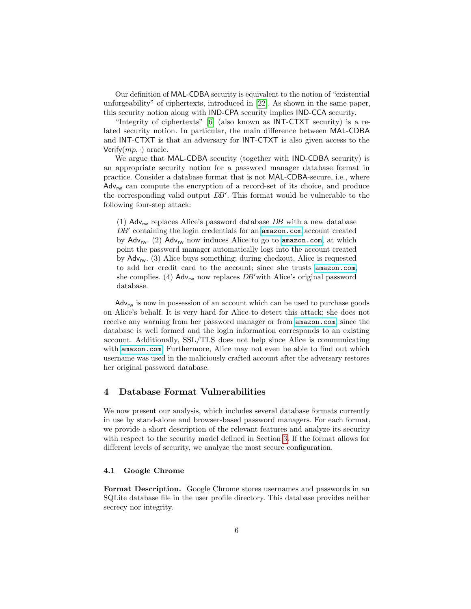Our definition of MAL-CDBA security is equivalent to the notion of "existential unforgeability" of ciphertexts, introduced in [\[22\]](#page-16-13). As shown in the same paper, this security notion along with IND-CPA security implies IND-CCA security.

"Integrity of ciphertexts" [\[6\]](#page-15-4) (also known as INT-CTXT security) is a related security notion. In particular, the main difference between MAL-CDBA and INT-CTXT is that an adversary for INT-CTXT is also given access to the Verify $(mp, \cdot)$  oracle.

We argue that MAL-CDBA security (together with IND-CDBA security) is an appropriate security notion for a password manager database format in practice. Consider a database format that is not MAL-CDBA-secure, i.e., where  $Adv_{rw}$  can compute the encryption of a record-set of its choice, and produce the corresponding valid output  $DB'$ . This format would be vulnerable to the following four-step attack:

(1)  $\Delta$ dv<sub>rw</sub> replaces Alice's password database *DB* with a new database  $DB'$  containing the login credentials for an <amazon.com> account created by  $\text{Adv}_{rw}$ . (2)  $\text{Adv}_{rw}$  now induces Alice to go to <amazon.com>, at which point the password manager automatically logs into the account created by  $\mathsf{Adv}_{\mathsf{rw}}$ . (3) Alice buys something; during checkout, Alice is requested to add her credit card to the account; since she trusts <amazon.com>, she complies. (4)  $\Delta d_{v_{rw}}$  now replaces  $DB'$  with Alice's original password database.

 $Adv_{rw}$  is now in possession of an account which can be used to purchase goods on Alice's behalf. It is very hard for Alice to detect this attack; she does not receive any warning from her password manager or from <amazon.com>, since the database is well formed and the login information corresponds to an existing account. Additionally, SSL/TLS does not help since Alice is communicating with <amazon.com>. Furthermore, Alice may not even be able to find out which username was used in the maliciously crafted account after the adversary restores her original password database.

### <span id="page-5-0"></span>4 Database Format Vulnerabilities

We now present our analysis, which includes several database formats currently in use by stand-alone and browser-based password managers. For each format, we provide a short description of the relevant features and analyze its security with respect to the security model defined in Section [3.](#page-2-0) If the format allows for different levels of security, we analyze the most secure configuration.

#### 4.1 Google Chrome

Format Description. Google Chrome stores usernames and passwords in an SQLite database file in the user profile directory. This database provides neither secrecy nor integrity.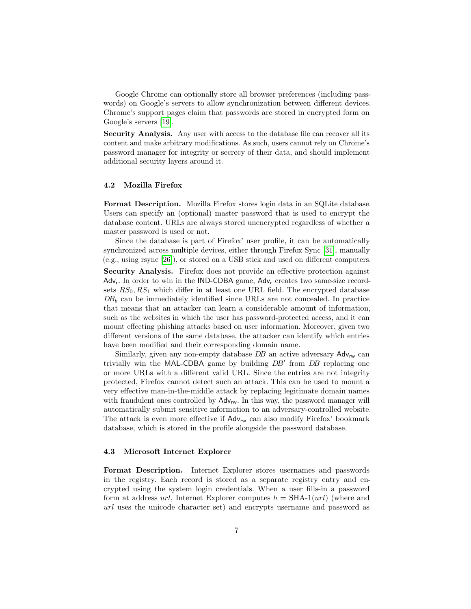Google Chrome can optionally store all browser preferences (including passwords) on Google's servers to allow synchronization between different devices. Chrome's support pages claim that passwords are stored in encrypted form on Google's servers [\[19\]](#page-16-14).

Security Analysis. Any user with access to the database file can recover all its content and make arbitrary modifications. As such, users cannot rely on Chrome's password manager for integrity or secrecy of their data, and should implement additional security layers around it.

#### 4.2 Mozilla Firefox

Format Description. Mozilla Firefox stores login data in an SQLite database. Users can specify an (optional) master password that is used to encrypt the database content. URLs are always stored unencrypted regardless of whether a master password is used or not.

Since the database is part of Firefox' user profile, it can be automatically synchronized across multiple devices, either through Firefox Sync [\[31\]](#page-16-15), manually (e.g., using rsync [\[26\]](#page-16-16)), or stored on a USB stick and used on different computers.

Security Analysis. Firefox does not provide an effective protection against Adv<sub>r</sub>. In order to win in the IND-CDBA game, Adv<sub>r</sub> creates two same-size recordsets  $RS_0, RS_1$  which differ in at least one URL field. The encrypted database  $DB<sub>b</sub>$  can be immediately identified since URLs are not concealed. In practice that means that an attacker can learn a considerable amount of information, such as the websites in which the user has password-protected access, and it can mount effecting phishing attacks based on user information. Moreover, given two different versions of the same database, the attacker can identify which entries have been modified and their corresponding domain name.

Similarly, given any non-empty database  $DB$  an active adversary  $\mathsf{Adv}_{\mathsf{rw}}$  can trivially win the MAL-CDBA game by building  $DB'$  from  $DB$  replacing one or more URLs with a different valid URL. Since the entries are not integrity protected, Firefox cannot detect such an attack. This can be used to mount a very effective man-in-the-middle attack by replacing legitimate domain names with fraudulent ones controlled by  $Adv_{w}$ . In this way, the password manager will automatically submit sensitive information to an adversary-controlled website. The attack is even more effective if  $\text{Adv}_{rw}$  can also modify Firefox' bookmark database, which is stored in the profile alongside the password database.

#### 4.3 Microsoft Internet Explorer

Format Description. Internet Explorer stores usernames and passwords in the registry. Each record is stored as a separate registry entry and encrypted using the system login credentials. When a user fills-in a password form at address  $url$ , Internet Explorer computes  $h = SHA-1(url)$  (where and url uses the unicode character set) and encrypts username and password as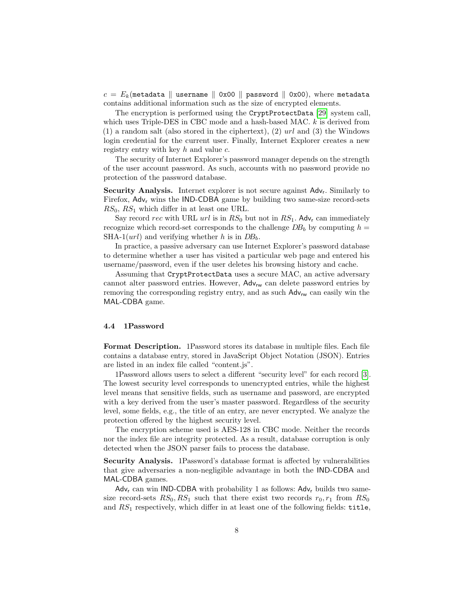$c = E_k$  (metadata || username || 0x00 || password || 0x00), where metadata contains additional information such as the size of encrypted elements.

The encryption is performed using the CryptProtectData [\[29\]](#page-16-17) system call, which uses Triple-DES in CBC mode and a hash-based MAC.  $k$  is derived from  $(1)$  a random salt (also stored in the ciphertext),  $(2)$  url and  $(3)$  the Windows login credential for the current user. Finally, Internet Explorer creates a new registry entry with key  $h$  and value  $c$ .

The security of Internet Explorer's password manager depends on the strength of the user account password. As such, accounts with no password provide no protection of the password database.

Security Analysis. Internet explorer is not secure against Adv<sub>r</sub>. Similarly to Firefox,  $Adv_r$  wins the IND-CDBA game by building two same-size record-sets  $RS_0, RS_1$  which differ in at least one URL.

Say record rec with URL url is in  $RS_0$  but not in  $RS_1$ . Adv<sub>r</sub> can immediately recognize which record-set corresponds to the challenge  $DB_b$  by computing  $h =$ SHA-1(url) and verifying whether h is in  $DB_b$ .

In practice, a passive adversary can use Internet Explorer's password database to determine whether a user has visited a particular web page and entered his username/password, even if the user deletes his browsing history and cache.

Assuming that CryptProtectData uses a secure MAC, an active adversary cannot alter password entries. However,  $\mathsf{Adv}_{\mathsf{rw}}$  can delete password entries by removing the corresponding registry entry, and as such  $\text{Adv}_{rw}$  can easily win the MAL-CDBA game.

#### 4.4 1Password

Format Description. 1Password stores its database in multiple files. Each file contains a database entry, stored in JavaScript Object Notation (JSON). Entries are listed in an index file called "content.js".

1Password allows users to select a different "security level" for each record [\[3\]](#page-15-5). The lowest security level corresponds to unencrypted entries, while the highest level means that sensitive fields, such as username and password, are encrypted with a key derived from the user's master password. Regardless of the security level, some fields, e.g., the title of an entry, are never encrypted. We analyze the protection offered by the highest security level.

The encryption scheme used is AES-128 in CBC mode. Neither the records nor the index file are integrity protected. As a result, database corruption is only detected when the JSON parser fails to process the database.

Security Analysis. 1Password's database format is affected by vulnerabilities that give adversaries a non-negligible advantage in both the IND-CDBA and MAL-CDBA games.

Adv<sub>r</sub> can win IND-CDBA with probability 1 as follows: Adv<sub>r</sub> builds two samesize record-sets  $RS_0, RS_1$  such that there exist two records  $r_0, r_1$  from  $RS_0$ and  $RS<sub>1</sub>$  respectively, which differ in at least one of the following fields: title,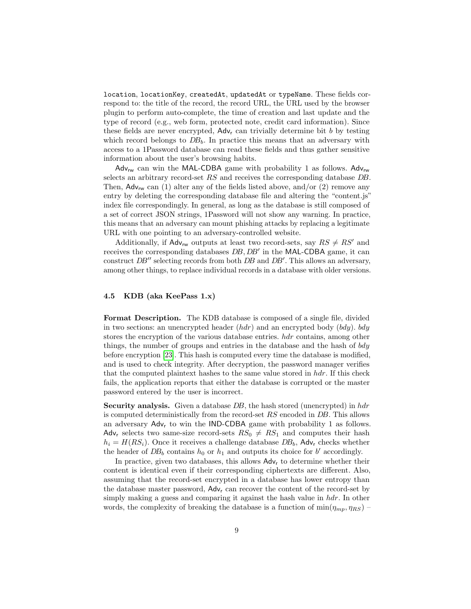location, locationKey, createdAt, updatedAt or typeName. These fields correspond to: the title of the record, the record URL, the URL used by the browser plugin to perform auto-complete, the time of creation and last update and the type of record (e.g., web form, protected note, credit card information). Since these fields are never encrypted,  $\mathsf{Adv}_{r}$  can trivially determine bit b by testing which record belongs to  $DB_b$ . In practice this means that an adversary with access to a 1Password database can read these fields and thus gather sensitive information about the user's browsing habits.

Adv<sub>rw</sub> can win the MAL-CDBA game with probability 1 as follows. Adv<sub>rw</sub> selects an arbitrary record-set RS and receives the corresponding database DB. Then,  $\mathsf{Adv}_{rw}$  can (1) alter any of the fields listed above, and/or (2) remove any entry by deleting the corresponding database file and altering the "content.js" index file correspondingly. In general, as long as the database is still composed of a set of correct JSON strings, 1Password will not show any warning. In practice, this means that an adversary can mount phishing attacks by replacing a legitimate URL with one pointing to an adversary-controlled website.

Additionally, if  $\mathsf{Adv}_{\mathsf{rw}}$  outputs at least two record-sets, say  $RS \neq RS'$  and receives the corresponding databases  $DB, DB'$  in the MAL-CDBA game, it can construct  $DB''$  selecting records from both  $DB$  and  $DB'$ . This allows an adversary, among other things, to replace individual records in a database with older versions.

#### 4.5 KDB (aka KeePass 1.x)

Format Description. The KDB database is composed of a single file, divided in two sections: an unencrypted header  $(hdr)$  and an encrypted body  $(bdy)$ . bdy stores the encryption of the various database entries. hdr contains, among other things, the number of groups and entries in the database and the hash of bdy before encryption [\[23\]](#page-16-8). This hash is computed every time the database is modified, and is used to check integrity. After decryption, the password manager verifies that the computed plaintext hashes to the same value stored in  $hdr$ . If this check fails, the application reports that either the database is corrupted or the master password entered by the user is incorrect.

Security analysis. Given a database DB, the hash stored (unencrypted) in hdr is computed deterministically from the record-set RS encoded in DB. This allows an adversary  $Adv<sub>r</sub>$  to win the IND-CDBA game with probability 1 as follows. Adv<sub>r</sub> selects two same-size record-sets  $RS_0 \neq RS_1$  and computes their hash  $h_i = H(RS_i)$ . Once it receives a challenge database  $DB_b$ , Adv<sub>r</sub> checks whether the header of  $DB_b$  contains  $h_0$  or  $h_1$  and outputs its choice for b' accordingly.

In practice, given two databases, this allows  $\mathsf{Adv}_{r}$  to determine whether their content is identical even if their corresponding ciphertexts are different. Also, assuming that the record-set encrypted in a database has lower entropy than the database master password,  $\mathsf{Adv}_r$  can recover the content of the record-set by simply making a guess and comparing it against the hash value in  $hdr$ . In other words, the complexity of breaking the database is a function of  $\min(\eta_{mp}, \eta_{RS})$  -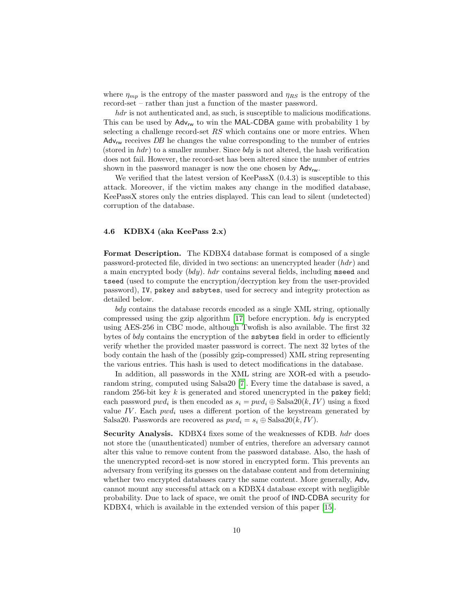where  $\eta_{mp}$  is the entropy of the master password and  $\eta_{RS}$  is the entropy of the record-set – rather than just a function of the master password.

hdr is not authenticated and, as such, is susceptible to malicious modifications. This can be used by  $\mathsf{Adv}_{rw}$  to win the MAL-CDBA game with probability 1 by selecting a challenge record-set RS which contains one or more entries. When  $Adv_{rw}$  receives DB he changes the value corresponding to the number of entries (stored in  $hdr$ ) to a smaller number. Since  $bdy$  is not altered, the hash verification does not fail. However, the record-set has been altered since the number of entries shown in the password manager is now the one chosen by  $\mathsf{Adv}_{\mathsf{rw}}$ .

We verified that the latest version of KeePassX  $(0.4.3)$  is susceptible to this attack. Moreover, if the victim makes any change in the modified database, KeePassX stores only the entries displayed. This can lead to silent (undetected) corruption of the database.

#### 4.6 KDBX4 (aka KeePass 2.x)

Format Description. The KDBX4 database format is composed of a single password-protected file, divided in two sections: an unencrypted header (hdr) and a main encrypted body  $(bdy)$ . *hdr* contains several fields, including mseed and tseed (used to compute the encryption/decryption key from the user-provided password), IV, pskey and ssbytes, used for secrecy and integrity protection as detailed below.

bdy contains the database records encoded as a single XML string, optionally compressed using the gzip algorithm [\[17\]](#page-16-18) before encryption.  $bdy$  is encrypted using AES-256 in CBC mode, although Twofish is also available. The first 32 bytes of bdy contains the encryption of the ssbytes field in order to efficiently verify whether the provided master password is correct. The next 32 bytes of the body contain the hash of the (possibly gzip-compressed) XML string representing the various entries. This hash is used to detect modifications in the database.

In addition, all passwords in the XML string are XOR-ed with a pseudorandom string, computed using Salsa20 [\[7\]](#page-15-6). Every time the database is saved, a random 256-bit key  $k$  is generated and stored unencrypted in the pskey field; each password  $pwd_i$  is then encoded as  $s_i = pwd_i \oplus \text{Salsa20}(k, IV)$  using a fixed value IV. Each  $pwd_i$  uses a different portion of the keystream generated by Salsa20. Passwords are recovered as  $pwd_i = s_i \oplus Salsa20(k, IV)$ .

Security Analysis. KDBX4 fixes some of the weaknesses of KDB. hdr does not store the (unauthenticated) number of entries, therefore an adversary cannot alter this value to remove content from the password database. Also, the hash of the unencrypted record-set is now stored in encrypted form. This prevents an adversary from verifying its guesses on the database content and from determining whether two encrypted databases carry the same content. More generally,  $\mathsf{Adv}_{r}$ cannot mount any successful attack on a KDBX4 database except with negligible probability. Due to lack of space, we omit the proof of IND-CDBA security for KDBX4, which is available in the extended version of this paper [\[15\]](#page-16-19).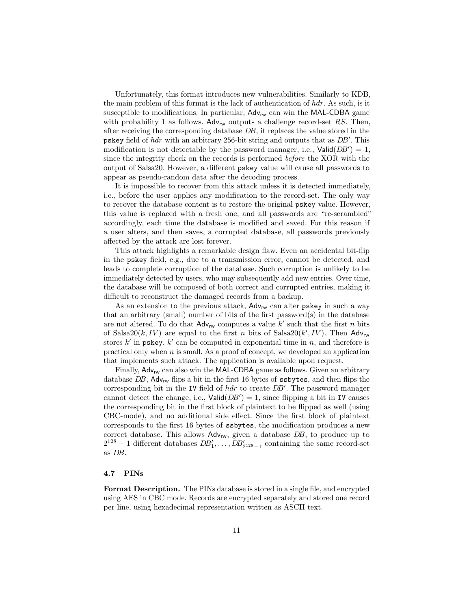Unfortunately, this format introduces new vulnerabilities. Similarly to KDB, the main problem of this format is the lack of authentication of  $hdr$ . As such, is it susceptible to modifications. In particular,  $Adv_{rw}$  can win the MAL-CDBA game with probability 1 as follows.  $\text{Adv}_{rw}$  outputs a challenge record-set RS. Then, after receiving the corresponding database DB, it replaces the value stored in the pskey field of  $hdr$  with an arbitrary 256-bit string and outputs that as  $DB'$ . This modification is not detectable by the password manager, i.e.,  $Valid(DB') = 1$ , since the integrity check on the records is performed before the XOR with the output of Salsa20. However, a different pskey value will cause all passwords to appear as pseudo-random data after the decoding process.

It is impossible to recover from this attack unless it is detected immediately, i.e., before the user applies any modification to the record-set. The only way to recover the database content is to restore the original pskey value. However, this value is replaced with a fresh one, and all passwords are "re-scrambled" accordingly, each time the database is modified and saved. For this reason if a user alters, and then saves, a corrupted database, all passwords previously affected by the attack are lost forever.

This attack highlights a remarkable design flaw. Even an accidental bit-flip in the pskey field, e.g., due to a transmission error, cannot be detected, and leads to complete corruption of the database. Such corruption is unlikely to be immediately detected by users, who may subsequently add new entries. Over time, the database will be composed of both correct and corrupted entries, making it difficult to reconstruct the damaged records from a backup.

As an extension to the previous attack,  $Adv_{rw}$  can alter pskey in such a way that an arbitrary (small) number of bits of the first password(s) in the database are not altered. To do that  $\mathsf{Adv}_{\mathsf{rw}}$  computes a value  $k'$  such that the first n bits of Salsa20 $(k, IV)$  are equal to the first n bits of Salsa20 $(k', IV)$ . Then Adv<sub>rw</sub> stores  $k'$  in pskey.  $k'$  can be computed in exponential time in n, and therefore is practical only when  $n$  is small. As a proof of concept, we developed an application that implements such attack. The application is available upon request.

Finally,  $Adv_{rw}$  can also win the MAL-CDBA game as follows. Given an arbitrary database  $DB$ , Adv<sub>rw</sub> flips a bit in the first 16 bytes of ssbytes, and then flips the corresponding bit in the IV field of  $hdr$  to create  $DB'$ . The password manager cannot detect the change, i.e.,  $\text{Valid}(DB') = 1$ , since flipping a bit in IV causes the corresponding bit in the first block of plaintext to be flipped as well (using CBC-mode), and no additional side effect. Since the first block of plaintext corresponds to the first 16 bytes of ssbytes, the modification produces a new correct database. This allows  $\mathsf{Adv}_{\mathsf{rw}}$ , given a database  $DB$ , to produce up to  $2^{128} - 1$  different databases  $DB'_1, \ldots, DB'_{2^{128}-1}$  containing the same record-set as DB.

#### 4.7 PINs

Format Description. The PINs database is stored in a single file, and encrypted using AES in CBC mode. Records are encrypted separately and stored one record per line, using hexadecimal representation written as ASCII text.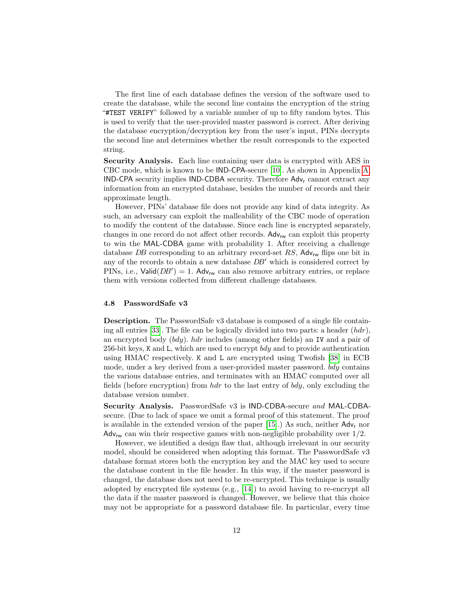The first line of each database defines the version of the software used to create the database, while the second line contains the encryption of the string "#TEST VERIFY" followed by a variable number of up to fifty random bytes. This is used to verify that the user-provided master password is correct. After deriving the database encryption/decryption key from the user's input, PINs decrypts the second line and determines whether the result corresponds to the expected string.

Security Analysis. Each line containing user data is encrypted with AES in CBC mode, which is known to be IND-CPA-secure [\[10\]](#page-16-20). As shown in Appendix [A,](#page-17-5) IND-CPA security implies IND-CDBA security. Therefore Adv<sup>r</sup> cannot extract any information from an encrypted database, besides the number of records and their approximate length.

However, PINs' database file does not provide any kind of data integrity. As such, an adversary can exploit the malleability of the CBC mode of operation to modify the content of the database. Since each line is encrypted separately, changes in one record do not affect other records.  $Adv_{\mathbf{w}}$  can exploit this property to win the MAL-CDBA game with probability 1. After receiving a challenge database DB corresponding to an arbitrary record-set  $RS$ , Adv<sub>rw</sub> flips one bit in any of the records to obtain a new database  $DB'$  which is considered correct by PINs, i.e.,  $Valid(DB') = 1$ . Adv<sub>rw</sub> can also remove arbitrary entries, or replace them with versions collected from different challenge databases.

#### <span id="page-11-0"></span>4.8 PasswordSafe v3

Description. The PasswordSafe v3 database is composed of a single file contain-ing all entries [\[33\]](#page-16-21). The file can be logically divided into two parts: a header  $(hdr)$ , an encrypted body  $(bdy)$ . *hdr* includes (among other fields) an IV and a pair of 256-bit keys, K and L, which are used to encrypt  $bdy$  and to provide authentication using HMAC respectively. K and L are encrypted using Twofish [\[38\]](#page-17-6) in ECB mode, under a key derived from a user-provided master password. bdy contains the various database entries, and terminates with an HMAC computed over all fields (before encryption) from  $hdr$  to the last entry of  $bdy$ , only excluding the database version number.

Security Analysis. PasswordSafe v3 is IND-CDBA-secure and MAL-CDBAsecure. (Due to lack of space we omit a formal proof of this statement. The proof is available in the extended version of the paper  $[15]$ .) As such, neither  $\mathsf{Adv}_{r}$  nor  $\Delta d_{\mathsf{V}_{\mathsf{rw}}}$  can win their respective games with non-negligible probability over  $1/2$ .

However, we identified a design flaw that, although irrelevant in our security model, should be considered when adopting this format. The PasswordSafe v3 database format stores both the encryption key and the MAC key used to secure the database content in the file header. In this way, if the master password is changed, the database does not need to be re-encrypted. This technique is usually adopted by encrypted file systems  $(e.g., 14)$  to avoid having to re-encrypt all the data if the master password is changed. However, we believe that this choice may not be appropriate for a password database file. In particular, every time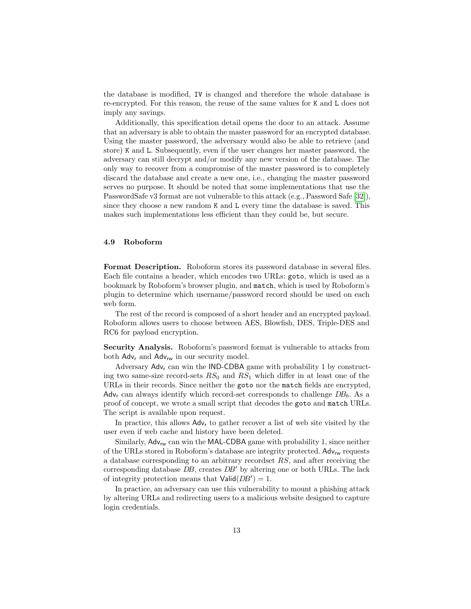the database is modified, IV is changed and therefore the whole database is re-encrypted. For this reason, the reuse of the same values for K and L does not imply any savings.

Additionally, this specification detail opens the door to an attack. Assume that an adversary is able to obtain the master password for an encrypted database. Using the master password, the adversary would also be able to retrieve (and store) K and L. Subsequently, even if the user changes her master password, the adversary can still decrypt and/or modify any new version of the database. The only way to recover from a compromise of the master password is to completely discard the database and create a new one, i.e., changing the master password serves no purpose. It should be noted that some implementations that use the PasswordSafe v3 format are not vulnerable to this attack (e.g., Password Safe [\[32\]](#page-16-10)), since they choose a new random K and L every time the database is saved. This makes such implementations less efficient than they could be, but secure.

#### 4.9 Roboform

Format Description. Roboform stores its password database in several files. Each file contains a header, which encodes two URLs: goto, which is used as a bookmark by Roboform's browser plugin, and match, which is used by Roboform's plugin to determine which username/password record should be used on each web form.

The rest of the record is composed of a short header and an encrypted payload. Roboform allows users to choose between AES, Blowfish, DES, Triple-DES and RC6 for payload encryption.

Security Analysis. Roboform's password format is vulnerable to attacks from both  $\mathsf{Adv}_{r}$  and  $\mathsf{Adv}_{rw}$  in our security model.

Adversary  $Adv_r$  can win the IND-CDBA game with probability 1 by constructing two same-size record-sets  $RS_0$  and  $RS_1$  which differ in at least one of the URLs in their records. Since neither the goto nor the match fields are encrypted,  $\text{Adv}_{r}$  can always identify which record-set corresponds to challenge  $DB_b$ . As a proof of concept, we wrote a small script that decodes the goto and match URLs. The script is available upon request.

In practice, this allows  $\mathsf{Adv}_{r}$  to gather recover a list of web site visited by the user even if web cache and history have been deleted.

Similarly,  $Adv_{rw}$  can win the MAL-CDBA game with probability 1, since neither of the URLs stored in Roboform's database are integrity protected. Adv<sub>rw</sub> requests a database corresponding to an arbitrary recordset RS, and after receiving the corresponding database  $DB$ , creates  $DB'$  by altering one or both URLs. The lack of integrity protection means that  $\text{Valid}(DB') = 1$ .

In practice, an adversary can use this vulnerability to mount a phishing attack by altering URLs and redirecting users to a malicious website designed to capture login credentials.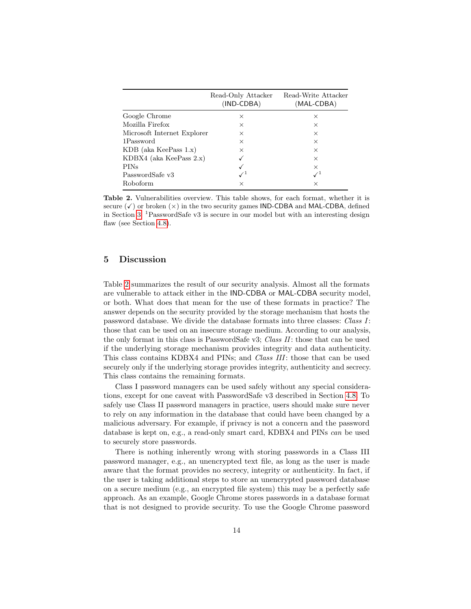|                             | Read-Only Attacker<br>(IND-CDBA) | Read-Write Attacker<br>(MAL-CDBA) |
|-----------------------------|----------------------------------|-----------------------------------|
| Google Chrome               | $\times$                         | $\times$                          |
| Mozilla Firefox             | X                                | $\times$                          |
| Microsoft Internet Explorer | X                                | $\times$                          |
| 1Password                   | $\times$                         | $\times$                          |
| $KDB$ (aka KeePass 1.x)     | X                                | $\times$                          |
| $KDBX4$ (aka KeePass 2.x)   |                                  | $\times$                          |
| PINs                        |                                  | $\times$                          |
| PasswordSafe v3             |                                  |                                   |
| Roboform                    | ×                                | ×                                 |

<span id="page-13-1"></span>Table 2. Vulnerabilities overview. This table shows, for each format, whether it is secure  $(\checkmark)$  or broken  $(\times)$  in the two security games IND-CDBA and MAL-CDBA, defined in Section [3.](#page-2-0) <sup>1</sup>PasswordSafe v3 is secure in our model but with an interesting design flaw (see Section [4.8\)](#page-11-0).

## <span id="page-13-0"></span>5 Discussion

Table [2](#page-13-1) summarizes the result of our security analysis. Almost all the formats are vulnerable to attack either in the IND-CDBA or MAL-CDBA security model, or both. What does that mean for the use of these formats in practice? The answer depends on the security provided by the storage mechanism that hosts the password database. We divide the database formats into three classes: Class I: those that can be used on an insecure storage medium. According to our analysis, the only format in this class is PasswordSafe v3; Class II: those that can be used if the underlying storage mechanism provides integrity and data authenticity. This class contains KDBX4 and PINs; and *Class III*: those that can be used securely only if the underlying storage provides integrity, authenticity and secrecy. This class contains the remaining formats.

Class I password managers can be used safely without any special considerations, except for one caveat with PasswordSafe v3 described in Section [4.8.](#page-11-0) To safely use Class II password managers in practice, users should make sure never to rely on any information in the database that could have been changed by a malicious adversary. For example, if privacy is not a concern and the password database is kept on, e.g., a read-only smart card, KDBX4 and PINs can be used to securely store passwords.

There is nothing inherently wrong with storing passwords in a Class III password manager, e.g., an unencrypted text file, as long as the user is made aware that the format provides no secrecy, integrity or authenticity. In fact, if the user is taking additional steps to store an unencrypted password database on a secure medium (e.g., an encrypted file system) this may be a perfectly safe approach. As an example, Google Chrome stores passwords in a database format that is not designed to provide security. To use the Google Chrome password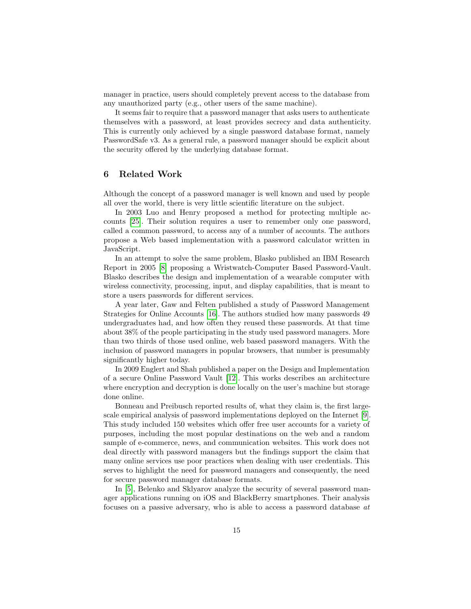manager in practice, users should completely prevent access to the database from any unauthorized party (e.g., other users of the same machine).

It seems fair to require that a password manager that asks users to authenticate themselves with a password, at least provides secrecy and data authenticity. This is currently only achieved by a single password database format, namely PasswordSafe v3. As a general rule, a password manager should be explicit about the security offered by the underlying database format.

# <span id="page-14-0"></span>6 Related Work

Although the concept of a password manager is well known and used by people all over the world, there is very little scientific literature on the subject.

In 2003 Luo and Henry proposed a method for protecting multiple accounts [\[25\]](#page-16-23). Their solution requires a user to remember only one password, called a common password, to access any of a number of accounts. The authors propose a Web based implementation with a password calculator written in JavaScript.

In an attempt to solve the same problem, Blasko published an IBM Research Report in 2005 [\[8\]](#page-15-7) proposing a Wristwatch-Computer Based Password-Vault. Blasko describes the design and implementation of a wearable computer with wireless connectivity, processing, input, and display capabilities, that is meant to store a users passwords for different services.

A year later, Gaw and Felten published a study of Password Management Strategies for Online Accounts [\[16\]](#page-16-12). The authors studied how many passwords 49 undergraduates had, and how often they reused these passwords. At that time about 38% of the people participating in the study used password managers. More than two thirds of those used online, web based password managers. With the inclusion of password managers in popular browsers, that number is presumably significantly higher today.

In 2009 Englert and Shah published a paper on the Design and Implementation of a secure Online Password Vault [\[12\]](#page-16-24). This works describes an architecture where encryption and decryption is done locally on the user's machine but storage done online.

Bonneau and Preibusch reported results of, what they claim is, the first largescale empirical analysis of password implementations deployed on the Internet [\[9\]](#page-16-25). This study included 150 websites which offer free user accounts for a variety of purposes, including the most popular destinations on the web and a random sample of e-commerce, news, and communication websites. This work does not deal directly with password managers but the findings support the claim that many online services use poor practices when dealing with user credentials. This serves to highlight the need for password managers and consequently, the need for secure password manager database formats.

In [\[5\]](#page-15-8), Belenko and Sklyarov analyze the security of several password manager applications running on iOS and BlackBerry smartphones. Their analysis focuses on a passive adversary, who is able to access a password database at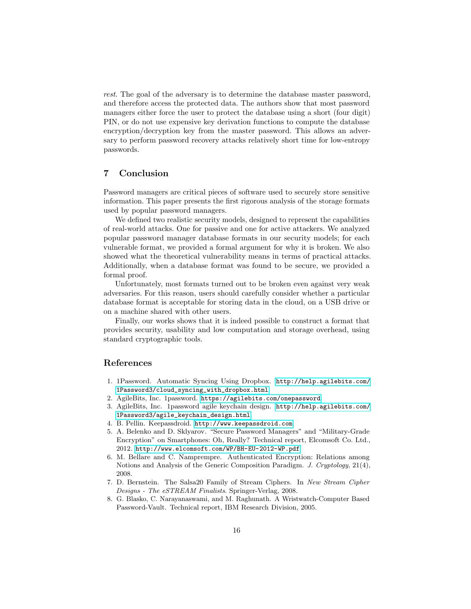rest. The goal of the adversary is to determine the database master password, and therefore access the protected data. The authors show that most password managers either force the user to protect the database using a short (four digit) PIN, or do not use expensive key derivation functions to compute the database encryption/decryption key from the master password. This allows an adversary to perform password recovery attacks relatively short time for low-entropy passwords.

# <span id="page-15-3"></span>7 Conclusion

Password managers are critical pieces of software used to securely store sensitive information. This paper presents the first rigorous analysis of the storage formats used by popular password managers.

We defined two realistic security models, designed to represent the capabilities of real-world attacks. One for passive and one for active attackers. We analyzed popular password manager database formats in our security models; for each vulnerable format, we provided a formal argument for why it is broken. We also showed what the theoretical vulnerability means in terms of practical attacks. Additionally, when a database format was found to be secure, we provided a formal proof.

Unfortunately, most formats turned out to be broken even against very weak adversaries. For this reason, users should carefully consider whether a particular database format is acceptable for storing data in the cloud, on a USB drive or on a machine shared with other users.

Finally, our works shows that it is indeed possible to construct a format that provides security, usability and low computation and storage overhead, using standard cryptographic tools.

# References

- <span id="page-15-0"></span>1. 1Password. Automatic Syncing Using Dropbox. [http://help.agilebits.com/](http://help.agilebits.com/1Password3/cloud_syncing_with_dropbox.html) [1Password3/cloud\\_syncing\\_with\\_dropbox.html](http://help.agilebits.com/1Password3/cloud_syncing_with_dropbox.html).
- <span id="page-15-1"></span>2. AgileBits, Inc. 1password. <https://agilebits.com/onepassword>.
- <span id="page-15-5"></span>3. AgileBits, Inc. 1password agile keychain design. [http://help.agilebits.com/](http://help.agilebits.com/1Password3/agile_keychain_design.html) [1Password3/agile\\_keychain\\_design.html](http://help.agilebits.com/1Password3/agile_keychain_design.html).
- <span id="page-15-2"></span>4. B. Pellin. Keepassdroid. <http://www.keepassdroid.com>.
- <span id="page-15-8"></span>5. A. Belenko and D. Sklyarov. "Secure Password Managers" and "Military-Grade Encryption" on Smartphones: Oh, Really? Technical report, Elcomsoft Co. Ltd., 2012. <http://www.elcomsoft.com/WP/BH-EU-2012-WP.pdf>.
- <span id="page-15-4"></span>6. M. Bellare and C. Namprempre. Authenticated Encryption: Relations among Notions and Analysis of the Generic Composition Paradigm. J. Cryptology, 21(4), 2008.
- <span id="page-15-6"></span>7. D. Bernstein. The Salsa20 Family of Stream Ciphers. In New Stream Cipher Designs - The eSTREAM Finalists. Springer-Verlag, 2008.
- <span id="page-15-7"></span>8. G. Blasko, C. Narayanaswami, and M. Raghunath. A Wristwatch-Computer Based Password-Vault. Technical report, IBM Research Division, 2005.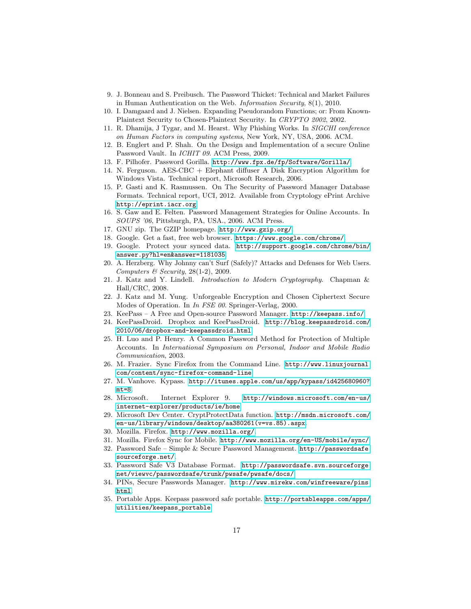- <span id="page-16-25"></span>9. J. Bonneau and S. Preibusch. The Password Thicket: Technical and Market Failures in Human Authentication on the Web. Information Security, 8(1), 2010.
- <span id="page-16-20"></span>10. I. Damgaard and J. Nielsen. Expanding Pseudorandom Functions; or: From Known-Plaintext Security to Chosen-Plaintext Security. In CRYPTO 2002, 2002.
- <span id="page-16-0"></span>11. R. Dhamija, J Tygar, and M. Hearst. Why Phishing Works. In SIGCHI conference on Human Factors in computing systems, New York, NY, USA, 2006. ACM.
- <span id="page-16-24"></span>12. B. Englert and P. Shah. On the Design and Implementation of a secure Online Password Vault. In ICHIT 09. ACM Press, 2009.
- <span id="page-16-11"></span>13. F. Pilhofer. Password Gorilla. <http://www.fpx.de/fp/Software/Gorilla/>.
- <span id="page-16-22"></span>14. N. Ferguson. AES-CBC + Elephant diffuser A Disk Encryption Algorithm for Windows Vista. Technical report, Microsoft Research, 2006.
- <span id="page-16-19"></span>15. P. Gasti and K. Rasmussen. On The Security of Password Manager Database Formats. Technical report, UCI, 2012. Available from Cryptology ePrint Archive <http://eprint.iacr.org>.
- <span id="page-16-12"></span>16. S. Gaw and E. Felten. Password Management Strategies for Online Accounts. In SOUPS '06, Pittsburgh, PA, USA., 2006. ACM Press.
- <span id="page-16-18"></span>17. GNU zip. The GZIP homepage. <http://www.gzip.org/>.
- <span id="page-16-5"></span>18. Google. Get a fast, free web browser. <https://www.google.com/chrome/>.
- <span id="page-16-14"></span>19. Google. Protect your synced data. [http://support.google.com/chrome/bin/](http://support.google.com/chrome/bin/answer.py?hl=en&answer=1181035) [answer.py?hl=en&answer=1181035](http://support.google.com/chrome/bin/answer.py?hl=en&answer=1181035).
- <span id="page-16-1"></span>20. A. Herzberg. Why Johnny can't Surf (Safely)? Attacks and Defenses for Web Users. Computers  $\mathcal B$  Security, 28(1-2), 2009.
- <span id="page-16-26"></span>21. J. Katz and Y. Lindell. Introduction to Modern Cryptography. Chapman & Hall/CRC, 2008.
- <span id="page-16-13"></span>22. J. Katz and M. Yung. Unforgeable Encryption and Chosen Ciphertext Secure Modes of Operation. In *In FSE 00*. Springer-Verlag, 2000.
- <span id="page-16-8"></span>23. KeePass – A Free and Open-source Password Manager. <http://keepass.info/>.
- <span id="page-16-3"></span>24. KeePassDroid. Dropbox and KeePassDroid. [http://blog.keepassdroid.com/](http://blog.keepassdroid.com/2010/06/dropbox-and-keepassdroid.html) [2010/06/dropbox-and-keepassdroid.html](http://blog.keepassdroid.com/2010/06/dropbox-and-keepassdroid.html).
- <span id="page-16-23"></span>25. H. Luo and P. Henry. A Common Password Method for Protection of Multiple Accounts. In International Symposium on Personal, Indoor and Mobile Radio Communication, 2003.
- <span id="page-16-16"></span>26. M. Frazier. Sync Firefox from the Command Line. [http://www.linuxjournal.](http://www.linuxjournal.com/content/sync-firefox-command-line) [com/content/sync-firefox-command-line](http://www.linuxjournal.com/content/sync-firefox-command-line).
- <span id="page-16-4"></span>27. M. Vanhove. Kypass. [http://itunes.apple.com/us/app/kypass/id425680960?](http://itunes.apple.com/us/app/kypass/id425680960?mt=8)  $mt = 8$ .
- <span id="page-16-7"></span>28. Microsoft. Internet Explorer 9. [http://windows.microsoft.com/en-us/](http://windows.microsoft.com/en-us/internet-explorer/products/ie/home) [internet-explorer/products/ie/home](http://windows.microsoft.com/en-us/internet-explorer/products/ie/home).
- <span id="page-16-17"></span>29. Microsoft Dev Center. CryptProtectData function. [http://msdn.microsoft.com/](http://msdn.microsoft.com/en-us/library/windows/desktop/aa380261(v=vs.85).aspx) [en-us/library/windows/desktop/aa380261\(v=vs.85\).aspx](http://msdn.microsoft.com/en-us/library/windows/desktop/aa380261(v=vs.85).aspx).
- <span id="page-16-6"></span>30. Mozilla. Firefox. <http://www.mozilla.org/>.
- <span id="page-16-15"></span>31. Mozilla. Firefox Sync for Mobile. <http://www.mozilla.org/en-US/mobile/sync/>.
- <span id="page-16-10"></span>32. Password Safe – Simple & Secure Password Management. [http://passwordsafe.](http://passwordsafe.sourceforge.net/) [sourceforge.net/](http://passwordsafe.sourceforge.net/).
- <span id="page-16-21"></span>33. Password Safe V3 Database Format. [http://passwordsafe.svn.sourceforge.](http://passwordsafe.svn.sourceforge.net/viewvc/passwordsafe/trunk/pwsafe/pwsafe/docs/) [net/viewvc/passwordsafe/trunk/pwsafe/pwsafe/docs/](http://passwordsafe.svn.sourceforge.net/viewvc/passwordsafe/trunk/pwsafe/pwsafe/docs/).
- <span id="page-16-9"></span>34. PINs, Secure Passwords Manager. [http://www.mirekw.com/winfreeware/pins.](http://www.mirekw.com/winfreeware/pins.html) [html](http://www.mirekw.com/winfreeware/pins.html).
- <span id="page-16-2"></span>35. Portable Apps. Keepass password safe portable. [http://portableapps.com/apps/](http://portableapps.com/apps/utilities/keepass_portable) [utilities/keepass\\_portable](http://portableapps.com/apps/utilities/keepass_portable).